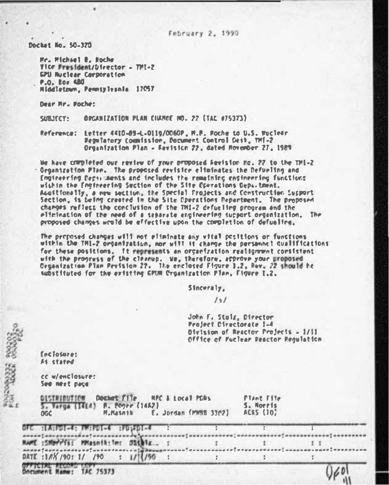Docket No. 50-370

Mr. Michael B. Roche Vice President/Director - TMI-2 **GPU Nuclear Corporation** P.O. Box 480 Middletown, Pennsylvania 17057

٠

Dear Mr. Boche:

SUBJECT: OPGANIZATION PLAN CIKROE NO. 22 (TAC 075373)

Reference: Letter 4410-09-L-D119/0060P. M.R. Roche to U.S. Nuclear Regulatory Cognission, Document Control Dest, TMI-2 Organization Plan - Revision 22, dated Rovember 27, 1989

We have completed our review of your proposed Revision Fo. 22 to the TPI-2 Organization Plan. The proposed revisice eliminates the Defueling and Engineering Decisionists and includes the remaining engineering functions within the Engineering Section of the Site Corretions Department. Acostionally, a new section, the Special Projects and Construction Support Section. Is being created in the Site Operations Pepartment. The proposed changes reflect the conclusion of the TH1-2 defueling program and the elicination of the need of a separate engineering support organization. The proposed changes wruld be effective upon the completion of defueline.

The proposed changes will not eliminate any vital positions or functions within the TH1-2 organization, nor will it change the personnel qualifications for these positions. It represents an organization realignment consistent with the progress of the clearup. We, therefore, approve your proposed Genanization Plan Pevision 22. The enclosed Figure 1.2. Rev. 22 should be substituted for the existing GPUM Croanization Flan, Figure 1.2.

Sinceraly.

 $131$ 

John F. Stalz, Director Project Directorate 1-4 Olvision of Reactor Projects = 1/11 Office of Puclear Reactor Regulation

 $60$ 

faciotares As stated

cc w/enclosures See next pace

|            | DISTRIBUTION Doctors File       | MPC & Local PDRs      | Flant File |
|------------|---------------------------------|-----------------------|------------|
|            | 5. Varga (14EA) A. Pogre (14A2) |                       | S. Morris  |
| <b>OGC</b> | <b>M.Masath</b>                 | E. Jordan (PMSH 3302) | ACRS (10)  |

OFC SCASPOI-4: FASPOI-4 SPUSSOI-4 NAME : SNOTFIS: MMasnik: In: 35thiz... L. ĭ  $1:1$ ,,,,,,,,,,,,,,,,,,,,,,,,,,,,,,,  $\frac{1}{2}$  $1/1/(50)$ DATE: 188 /901 1/ /90  $\cdot$  $\overline{z}$  $\overline{\mathbf{e}}$ 

OFFICIAL RECORD Document Name: TAC 75373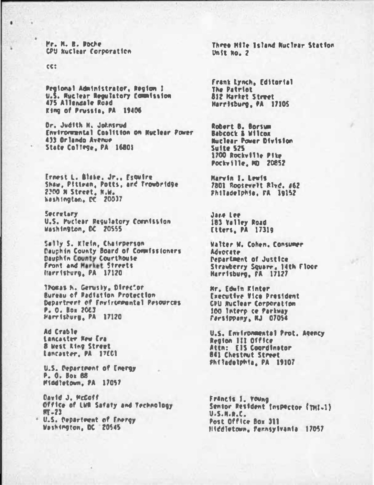Mr. N. B. Doche **CPU Ruclear Corporation** 

ce:

٠

Pegional Administrator, Region I U.S. Ruclear Requisiony Commission 475 Allengale Road Eing of Prussie, PA 19406

Dr. Judith N. Johnsrud Environmental Coalition on Nuclear Power 433 Orlando Avenue State College, PA 16803

Ernest L. Blake, Jr., Esquire Shaw, Pitiran, Potts, and Trowbridge 2300 N Street, N.W. Neshington, DC 20037

Secretary U.S. Puclear Resulatory Commission Washington, DC 20555

Sally S. Klein, Chairperson Dauphin County Board of Commissioners Dauphin County Courthouse Front and Market Streets Harristurg, PA 17120

Thomas h. Gerusky, Director **Rureau of Redistion Protection** Department of Environmental Pesources P. O. Box 2063 Harrishurg, PA 17120

Ad Crable **Lancaster New Era 8 West King Street** Lancaster, PA 17001

U.S. Department of Emergy P. O. Box 68 Middletown, PA 17057

David J. McCoff Office of LWR Safaty and Technology  $MT - 23$ 

\* U.S. Department of Energy Washington, DC 20545

Three Hile Island Nuclear Stating  $Unif: no. 2$ 

Frank Lynch, Editorial **The Patriot** 812 Market Street Marrisburg, PA 17105

Robert B. Borsum **Babcock & Wilcom Huclear Payer Division** Suite 525 1700 Rockville Pite Pockville, MD 20852

Marvin I. Lewis 7801 Roosevelt Rivd. 462 Philadelphia, FA 19152

Jack Lee 183 Yalley Road Etters, PA 17319

Walter W. Cohen. Consumer Advorate **Pepartment of Justice** Strawberry Square, 14th Floor Marrisburg, FA 17127

**Mr. Edwin Kinter Executive Vice President CPU Nuclear Corporation** 100 Intero ce Parkway Fariippany, NJ 07054

U.S. Environmental Prot. Agency Region 111 Office Attn: EIS Coordinator **841 Chestrut Street** Philadelphia, PA 19107

Francis J. Young Sentor Pesident (nspector (THI-1)  $U.S.H.R.C.$ Post Office Box 311 Hiddletown, Fennsylvania 17057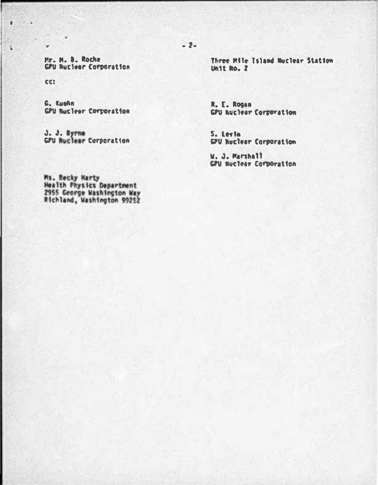Mr. N. B. Roche **GPU Nuclear Corporation** 

cer

¥

G. Eughn **CPU Nuclear Corporation** 

J. J. Byrne<br>GPU Nuclear Corporation

Three Mile Island Nuclear Station Unit No. 7

R. E. Rogan **GPU huclear Corporation** 

S. Louis GPU Ruclear Corporation

W. J. Marshall GPU Nuclear Corporation

Ms. Becky Narty<br>Health Physics Department<br>2955 George Washington Way<br>Richland, Washington 99252